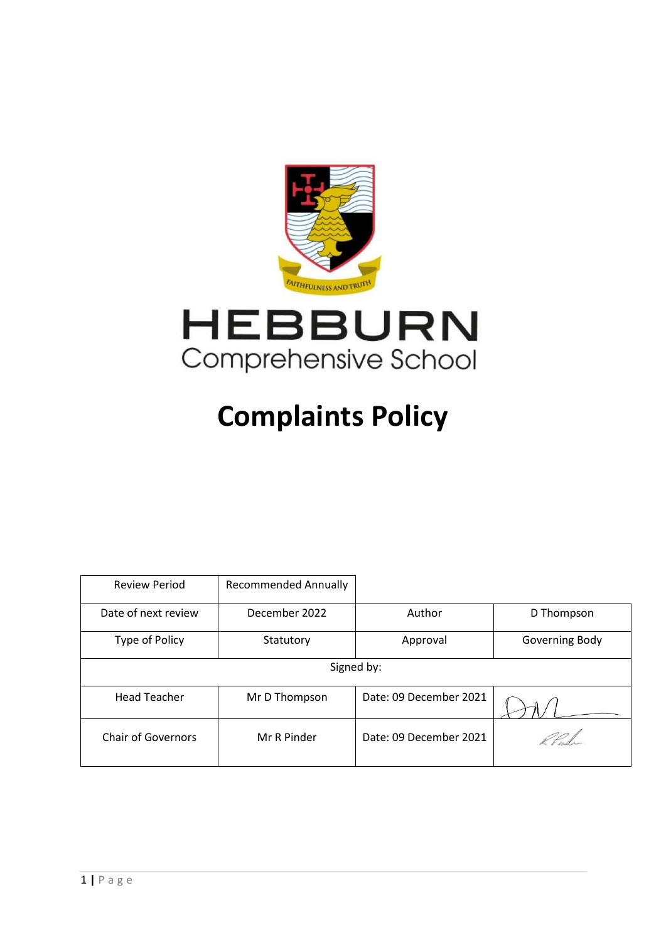



# **Complaints Policy**

| <b>Review Period</b>      | <b>Recommended Annually</b> |                        |                |
|---------------------------|-----------------------------|------------------------|----------------|
| Date of next review       | December 2022               | Author                 | D Thompson     |
| Type of Policy            | Statutory                   | Approval               | Governing Body |
| Signed by:                |                             |                        |                |
| <b>Head Teacher</b>       | Mr D Thompson               | Date: 09 December 2021 |                |
| <b>Chair of Governors</b> | Mr R Pinder                 | Date: 09 December 2021 |                |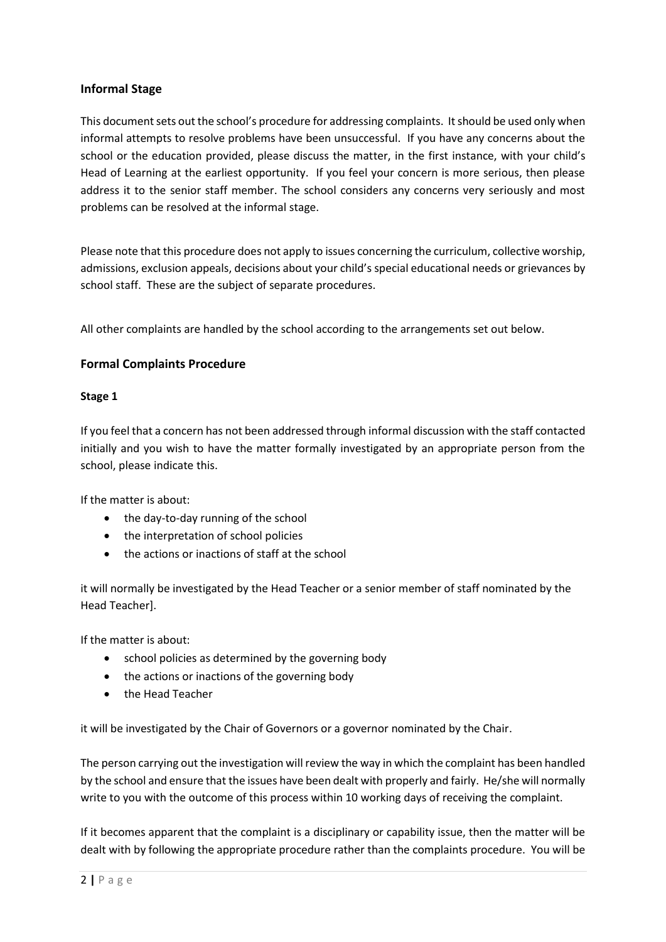## **Informal Stage**

This document sets out the school's procedure for addressing complaints. It should be used only when informal attempts to resolve problems have been unsuccessful. If you have any concerns about the school or the education provided, please discuss the matter, in the first instance, with your child's Head of Learning at the earliest opportunity. If you feel your concern is more serious, then please address it to the senior staff member. The school considers any concerns very seriously and most problems can be resolved at the informal stage.

Please note that this procedure does not apply to issues concerning the curriculum, collective worship, admissions, exclusion appeals, decisions about your child's special educational needs or grievances by school staff. These are the subject of separate procedures.

All other complaints are handled by the school according to the arrangements set out below.

# **Formal Complaints Procedure**

#### **Stage 1**

If you feel that a concern has not been addressed through informal discussion with the staff contacted initially and you wish to have the matter formally investigated by an appropriate person from the school, please indicate this.

If the matter is about:

- the day-to-day running of the school
- the interpretation of school policies
- the actions or inactions of staff at the school

it will normally be investigated by the Head Teacher or a senior member of staff nominated by the Head Teacher].

If the matter is about:

- school policies as determined by the governing body
- the actions or inactions of the governing body
- the Head Teacher

it will be investigated by the Chair of Governors or a governor nominated by the Chair.

The person carrying out the investigation will review the way in which the complaint has been handled by the school and ensure that the issues have been dealt with properly and fairly. He/she will normally write to you with the outcome of this process within 10 working days of receiving the complaint.

If it becomes apparent that the complaint is a disciplinary or capability issue, then the matter will be dealt with by following the appropriate procedure rather than the complaints procedure. You will be